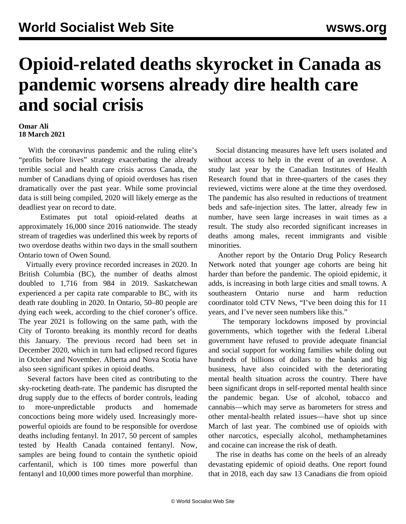## **Opioid-related deaths skyrocket in Canada as pandemic worsens already dire health care and social crisis**

## **Omar Ali 18 March 2021**

 With the coronavirus pandemic and the ruling elite's "profits before lives" strategy exacerbating the already terrible social and health care crisis across Canada, the number of Canadians dying of opioid overdoses has risen dramatically over the past year. While some provincial data is still being compiled, 2020 will likely emerge as the deadliest year on record to date.

 Estimates put total opioid-related deaths at approximately 16,000 since 2016 nationwide. The steady stream of tragedies was underlined this week by reports of two overdose deaths within two days in the small southern Ontario town of Owen Sound.

 Virtually every province recorded increases in 2020. In British Columbia (BC), the number of deaths almost doubled to 1,716 from 984 in 2019. Saskatchewan experienced a per capita rate comparable to BC, with its death rate doubling in 2020. In Ontario, 50–80 people are dying each week, according to the chief coroner's office. The year 2021 is following on the same path, with the City of Toronto breaking its monthly record for deaths this January. The previous record had been set in December 2020, which in turn had eclipsed record figures in October and November. Alberta and Nova Scotia have also seen significant spikes in opioid deaths.

 Several factors have been cited as contributing to the sky-rocketing death-rate. The pandemic has disrupted the drug supply due to the effects of border controls, leading to more-unpredictable products and homemade concoctions being more widely used. Increasingly morepowerful opioids are found to be responsible for overdose deaths including fentanyl. In 2017, 50 percent of samples tested by Health Canada contained fentanyl. Now, samples are being found to contain the synthetic opioid carfentanil, which is 100 times more powerful than fentanyl and 10,000 times more powerful than morphine.

 Social distancing measures have left users isolated and without access to help in the event of an overdose. A study last year by the Canadian Institutes of Health Research found that in three-quarters of the cases they reviewed, victims were alone at the time they overdosed. The pandemic has also resulted in reductions of treatment beds and safe-injection sites. The latter, already few in number, have seen large increases in wait times as a result. The study also recorded significant increases in deaths among males, recent immigrants and visible minorities.

 Another report by the Ontario Drug Policy Research Network noted that younger age cohorts are being hit harder than before the pandemic. The opioid epidemic, it adds, is increasing in both large cities and small towns. A southeastern Ontario nurse and harm reduction coordinator told CTV News, "I've been doing this for 11 years, and I've never seen numbers like this."

 The temporary lockdowns imposed by provincial governments, which together with the federal Liberal government have refused to provide adequate financial and social support for working families while doling out hundreds of billions of dollars to the banks and big business, have also coincided with the deteriorating mental health situation across the country. There have been significant drops in self-reported mental health since the pandemic began. Use of alcohol, tobacco and cannabis—which may serve as barometers for stress and other mental-health related issues—have shot up since March of last year. The combined use of opioids with other narcotics, especially alcohol, methamphetamines and cocaine can increase the risk of death.

 The rise in deaths has come on the heels of an already devastating epidemic of opioid deaths. One report found that in 2018, each day saw 13 Canadians die from opioid